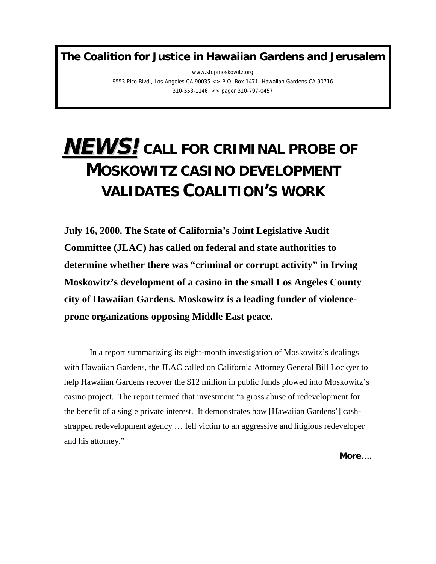**The Coalition for Justice in Hawaiian Gardens and Jerusalem**

www.stopmoskowitz.org 9553 Pico Blvd., Los Angeles CA 90035 <> P.O. Box 1471, Hawaiian Gardens CA 90716 310-553-1146 <> pager 310-797-0457

## **NEWS!CALL FOR CRIMINAL PROBE OF MOSKOWITZ CASINO DEVELOPMENT VALIDATES COALITION'S WORK**

**July 16, 2000. The State of California's Joint Legislative Audit Committee (JLAC) has called on federal and state authorities to determine whether there was "criminal or corrupt activity" in Irving Moskowitz's development of a casino in the small Los Angeles County city of Hawaiian Gardens. Moskowitz is a leading funder of violenceprone organizations opposing Middle East peace.**

In a report summarizing its eight-month investigation of Moskowitz's dealings with Hawaiian Gardens, the JLAC called on California Attorney General Bill Lockyer to help Hawaiian Gardens recover the \$12 million in public funds plowed into Moskowitz's casino project. The report termed that investment "a gross abuse of redevelopment for the benefit of a single private interest. It demonstrates how [Hawaiian Gardens'] cashstrapped redevelopment agency … fell victim to an aggressive and litigious redeveloper and his attorney."

**More….**